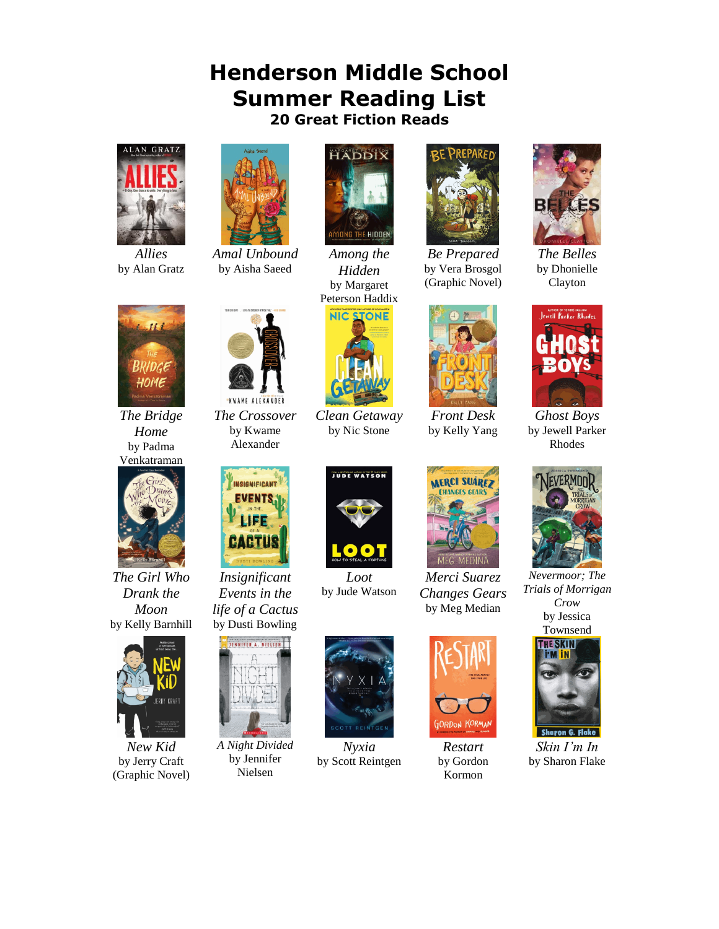## **Henderson Middle School Summer Reading List 20 Great Fiction Reads**



*Allies* by Alan Gratz



*Amal Unbound* by Aisha Saeed



*Among the Hidden* by Margaret Peterson Haddix

**NIC STONE** 



*Be Prepared* by Vera Brosgol (Graphic Novel)



*The Belles* by Dhonielle Clayton



*Ghost Boys* by Jewell Parker Rhodes



*Nevermoor; The Trials of Morrigan Crow* by Jessica Townsend



*Skin I'm In* by Sharon Flake



*The Bridge Home* by Padma Venkatraman



*The Girl Who Drank the Moon* by Kelly Barnhill



*New Kid* by Jerry Craft (Graphic Novel)



*The Crossover* by Kwame Alexander



*Insignificant Events in the life of a Cactus* by Dusti Bowling



*A Night Divided* by Jennifer Nielsen



*Clean Getaway* by Nic Stone

*Loot* by Jude Watson



*Nyxia* by Scott Reintgen



*Front Desk* by Kelly Yang

*Merci Suarez Changes Gears* by Meg Median



*Restart* by Gordon Kormon